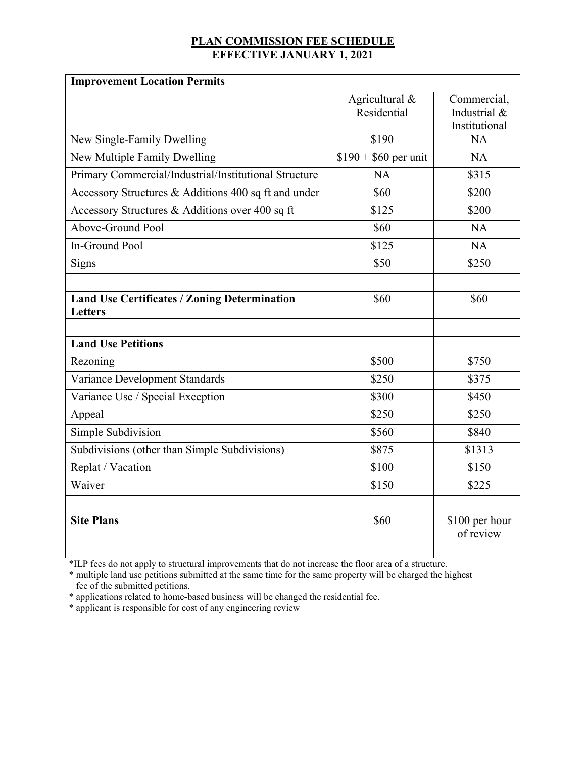## **PLAN COMMISSION FEE SCHEDULE EFFECTIVE JANUARY 1, 2021**

| <b>Improvement Location Permits</b>                            |                               |                                              |  |
|----------------------------------------------------------------|-------------------------------|----------------------------------------------|--|
|                                                                | Agricultural &<br>Residential | Commercial,<br>Industrial &<br>Institutional |  |
| New Single-Family Dwelling                                     | \$190                         | NA                                           |  |
| New Multiple Family Dwelling                                   | $$190 + $60$ per unit         | <b>NA</b>                                    |  |
| Primary Commercial/Industrial/Institutional Structure          | <b>NA</b>                     | \$315                                        |  |
| Accessory Structures & Additions 400 sq ft and under           | \$60                          | \$200                                        |  |
| Accessory Structures & Additions over 400 sq ft                | \$125                         | \$200                                        |  |
| Above-Ground Pool                                              | \$60                          | NA                                           |  |
| In-Ground Pool                                                 | \$125                         | NA                                           |  |
| Signs                                                          | \$50                          | \$250                                        |  |
|                                                                |                               |                                              |  |
| <b>Land Use Certificates / Zoning Determination</b><br>Letters | \$60                          | \$60                                         |  |
| <b>Land Use Petitions</b>                                      |                               |                                              |  |
| Rezoning                                                       | \$500                         | \$750                                        |  |
| Variance Development Standards                                 | \$250                         | \$375                                        |  |
| Variance Use / Special Exception                               | \$300                         | \$450                                        |  |
| Appeal                                                         | \$250                         | \$250                                        |  |
| Simple Subdivision                                             | \$560                         | \$840                                        |  |
| Subdivisions (other than Simple Subdivisions)                  | \$875                         | \$1313                                       |  |
| Replat / Vacation                                              | \$100                         | \$150                                        |  |
| Waiver                                                         | \$150                         | \$225                                        |  |
| <b>Site Plans</b>                                              | \$60                          | \$100 per hour<br>of review                  |  |

\*ILP fees do not apply to structural improvements that do not increase the floor area of a structure.

\* multiple land use petitions submitted at the same time for the same property will be charged the highest fee of the submitted petitions.

\* applications related to home-based business will be changed the residential fee.

\* applicant is responsible for cost of any engineering review